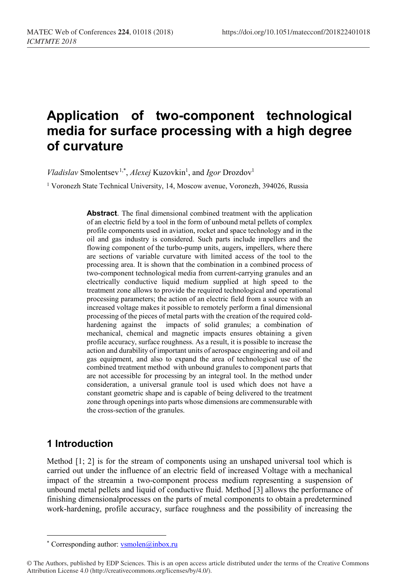# **Application of two-component technological media for surface processing with a high degree of curvature**

*Vladislav* Smolentsev<sup>[1](#page-0-0),\*</sup>, *Alexej* Kuzovkin<sup>1</sup>, and *Igor* Drozdov<sup>1</sup>

<sup>1</sup> Voronezh State Technical University, 14, Moscow avenue, Voronezh, 394026, Russia

**Abstract**. The final dimensional combined treatment with the application of an electric field by a tool in the form of unbound metal pellets of complex profile components used in aviation, rocket and space technology and in the oil and gas industry is considered. Such parts include impellers and the flowing component of the turbo-pump units, augers, impellers, where there are sections of variable curvature with limited access of the tool to the processing area. It is shown that the combination in a combined process of two-component technological media from current-carrying granules and an electrically conductive liquid medium supplied at high speed to the treatment zone allows to provide the required technological and operational processing parameters; the action of an electric field from a source with an increased voltage makes it possible to remotely perform a final dimensional processing of the pieces of metal parts with the creation of the required coldhardening against the impacts of solid granules; a combination of mechanical, chemical and magnetic impacts ensures obtaining a given profile accuracy, surface roughness. As a result, it is possible to increase the action and durability of important units of aerospace engineering and oil and gas equipment, and also to expand the area of technological use of the combined treatment method with unbound granules to component parts that are not accessible for processing by an integral tool. In the method under consideration, a universal granule tool is used which does not have a constant geometric shape and is capable of being delivered to the treatment zone through openings into parts whose dimensions are commensurable with the cross-section of the granules.

# **1 Introduction**

 $\overline{\phantom{a}}$ 

Method [1; 2] is for the stream of components using an unshaped universal tool which is carried out under the influence of an electric field of increased Voltage with a mechanical impact of the streamin a two-component process medium representing a suspension of unbound metal pellets and liquid of conductive fluid. Method [3] allows the performance of finishing dimensionalprocesses on the parts of metal components to obtain a predetermined work-hardening, profile accuracy, surface roughness and the possibility of increasing the

<sup>\*</sup> Corresponding author: vsmolen@inbox.ru

<span id="page-0-0"></span><sup>©</sup> The Authors, published by EDP Sciences. This is an open access article distributed under the terms of the Creative Commons Attribution License 4.0 (http://creativecommons.org/licenses/by/4.0/).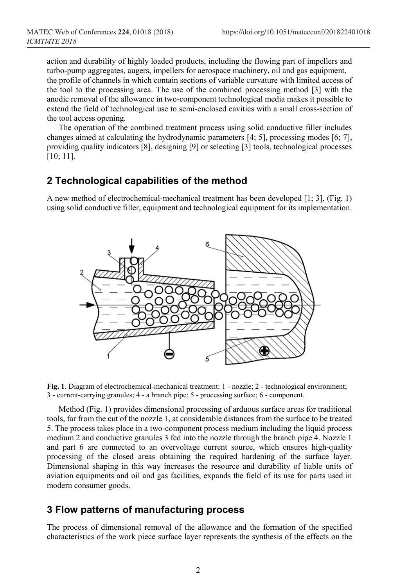action and durability of highly loaded products, including the flowing part of impellers and turbo-pump aggregates, augers, impellers for aerospace machinery, oil and gas equipment, the profile of channels in which contain sections of variable curvature with limited access of the tool to the processing area. The use of the combined processing method [3] with the anodic removal of the allowance in two-component technological media makes it possible to extend the field of technological use to semi-enclosed cavities with a small cross-section of the tool access opening.

The operation of the combined treatment process using solid conductive filler includes changes aimed at calculating the hydrodynamic parameters [4; 5], processing modes [6; 7], providing quality indicators [8], designing [9] or selecting [3] tools, technological processes [10; 11].

## **2 Technological capabilities of the method**

A new method of electrochemical-mechanical treatment has been developed [1; 3], (Fig. 1) using solid conductive filler, equipment and technological equipment for its implementation.



**Fig. 1**. Diagram of electrochemical-mechanical treatment: 1 - nozzle; 2 - technological environment; 3 - current-carrying granules; 4 - a branch pipe; 5 - processing surface; 6 - component.

Method (Fig. 1) provides dimensional processing of arduous surface areas for traditional tools, far from the cut of the nozzle 1, at considerable distances from the surface to be treated 5. The process takes place in a two-component process medium including the liquid process medium 2 and conductive granules 3 fed into the nozzle through the branch pipe 4. Nozzle 1 and part 6 are connected to an overvoltage current source, which ensures high-quality processing of the closed areas obtaining the required hardening of the surface layer. Dimensional shaping in this way increases the resource and durability of liable units of aviation equipments and oil and gas facilities, expands the field of its use for parts used in modern consumer goods.

#### **3 Flow patterns of manufacturing process**

The process of dimensional removal of the allowance and the formation of the specified characteristics of the work piece surface layer represents the synthesis of the effects on the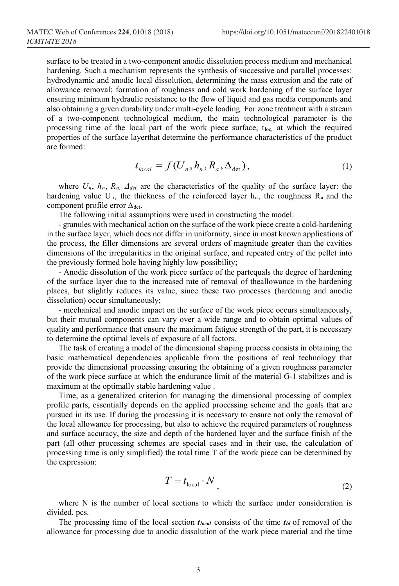surface to be treated in a two-component anodic dissolution process medium and mechanical hardening. Such a mechanism represents the synthesis of successive and parallel processes: hydrodynamic and anodic local dissolution, determining the mass extrusion and the rate of allowance removal; formation of roughness and cold work hardening of the surface layer ensuring minimum hydraulic resistance to the flow of liquid and gas media components and also obtaining a given durability under multi-cycle loading. For zone treatment with a stream of a two-component technological medium, the main technological parameter is the processing time of the local part of the work piece surface, tloc, at which the required properties of the surface layerthat determine the performance characteristics of the product are formed:

$$
t_{local} = f(U_n, h_n, R_a, \Delta_{\text{det}}),
$$
\n(1)

where *Un*, *hn*, *Ra*, <sup>∆</sup>*det* are the characteristics of the quality of the surface layer: the hardening value  $U_n$ , the thickness of the reinforced layer  $h_n$ , the roughness  $R_a$  and the component profile error  $\Delta_{\text{det}}$ .

The following initial assumptions were used in constructing the model:

- granules with mechanical action on the surface of the work piece create a cold-hardening in the surface layer, which does not differ in uniformity, since in most known applications of the process, the filler dimensions are several orders of magnitude greater than the cavities dimensions of the irregularities in the original surface, and repeated entry of the pellet into the previously formed hole having highly low possibility;

- Anodic dissolution of the work piece surface of the partequals the degree of hardening of the surface layer due to the increased rate of removal of theallowance in the hardening places, but slightly reduces its value, since these two processes (hardening and anodic dissolution) occur simultaneously;

- mechanical and anodic impact on the surface of the work piece occurs simultaneously, but their mutual components can vary over a wide range and to obtain optimal values of quality and performance that ensure the maximum fatigue strength of the part, it is necessary to determine the optimal levels of exposure of all factors.

The task of creating a model of the dimensional shaping process consists in obtaining the basic mathematical dependencies applicable from the positions of real technology that provide the dimensional processing ensuring the obtaining of a given roughness parameter of the work piece surface at which the endurance limit of the material Ϭ-1 stabilizes and is maximum at the optimally stable hardening value .

Time, as a generalized criterion for managing the dimensional processing of complex profile parts, essentially depends on the applied processing scheme and the goals that are pursued in its use. If during the processing it is necessary to ensure not only the removal of the local allowance for processing, but also to achieve the required parameters of roughness and surface accuracy, the size and depth of the hardened layer and the surface finish of the part (all other processing schemes are special cases and in their use, the calculation of processing time is only simplified) the total time T of the work piece can be determined by the expression:

$$
T = t_{\text{local}} \cdot N \tag{2}
$$

where N is the number of local sections to which the surface under consideration is divided, pcs.

The processing time of the local section  $t_{local}$  consists of the time  $t_{ld}$  of removal of the allowance for processing due to anodic dissolution of the work piece material and the time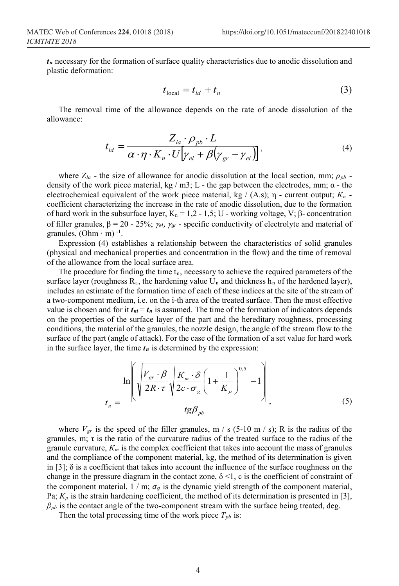$t_n$  necessary for the formation of surface quality characteristics due to anodic dissolution and plastic deformation:

$$
t_{\text{local}} = t_{ld} + t_n \tag{3}
$$

The removal time of the allowance depends on the rate of anode dissolution of the allowance:

$$
t_{ld} = \frac{Z_{la} \cdot \rho_{pb} \cdot L}{\alpha \cdot \eta \cdot K_n \cdot U[\gamma_{el} + \beta(\gamma_{gr} - \gamma_{el})]},
$$
\n(4)

where  $Z_{la}$  - the size of allowance for anodic dissolution at the local section, mm;  $\rho_{pb}$  density of the work piece material, kg / m3; L - the gap between the electrodes, mm;  $\alpha$  - the electrochemical equivalent of the work piece material, kg / (A.s); η - current output; *К<sup>n</sup>* coefficient characterizing the increase in the rate of anodic dissolution, due to the formation of hard work in the subsurface layer,  $K_n = 1,2 - 1,5$ ; U - working voltage, V; β- concentration of filler granules, β = 20 - 25%; γ*el*, γ*gr* - specific conductivity of electrolyte and material of granules,  $(Ohm \cdot m)^{-1}$ .

Expression (4) establishes a relationship between the characteristics of solid granules (physical and mechanical properties and concentration in the flow) and the time of removal of the allowance from the local surface area.

The procedure for finding the time  $t_n$ , necessary to achieve the required parameters of the surface layer (roughness  $R_a$ , the hardening value  $U_n$  and thickness  $h_n$  of the hardened layer), includes an estimate of the formation time of each of these indices at the site of the stream of a two-component medium, i.e. on the i-th area of the treated surface. Then the most effective value is chosen and for it  $t_m = t_n$  is assumed. The time of the formation of indicators depends on the properties of the surface layer of the part and the hereditary roughness, processing conditions, the material of the granules, the nozzle design, the angle of the stream flow to the surface of the part (angle of attack). For the case of the formation of a set value for hard work in the surface layer, the time  $t_n$  is determined by the expression:

$$
t_{\mu} = \frac{\ln\left(\sqrt{\frac{V_{gr} \cdot \beta}{2R \cdot \tau} \sqrt{\frac{K_m \cdot \delta}{2c \cdot \sigma_g} \left(1 + \frac{1}{K_{\mu}}\right)^{0.5}} - 1\right)}{tg\beta_{pb}},
$$
\n(5)

where  $V_{gr}$  is the speed of the filler granules, m / s (5-10 m / s); R is the radius of the granules, m;  $\tau$  is the ratio of the curvature radius of the treated surface to the radius of the granule curvature,  $K_m$  is the complex coefficient that takes into account the mass of granules and the compliance of the component material, kg, the method of its determination is given in [3];  $\delta$  is a coefficient that takes into account the influence of the surface roughness on the change in the pressure diagram in the contact zone,  $\delta$  <1, c is the coefficient of constraint of the component material,  $1/m$ ;  $\sigma_g$  is the dynamic yield strength of the component material, Pa;  $K_{\mu}$  is the strain hardening coefficient, the method of its determination is presented in [3],  $\beta_{pb}$  is the contact angle of the two-component stream with the surface being treated, deg.

Then the total processing time of the work piece  $T_{pb}$  is: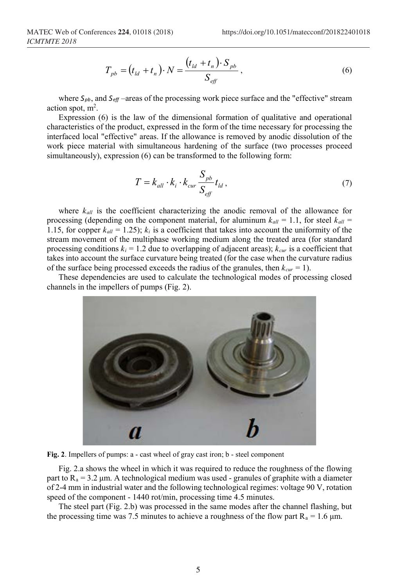$$
T_{pb} = (t_{ld} + t_n) \cdot N = \frac{(t_{ld} + t_n) \cdot S_{pb}}{S_{eff}},
$$
\n(6)

where  $S_{pb}$ , and  $S_{eff}$  –areas of the processing work piece surface and the "effective" stream action spot,  $m^2$ .

Expression (6) is the law of the dimensional formation of qualitative and operational characteristics of the product, expressed in the form of the time necessary for processing the interfaced local "effective" areas. If the allowance is removed by anodic dissolution of the work piece material with simultaneous hardening of the surface (two processes proceed simultaneously), expression (6) can be transformed to the following form:

$$
T = k_{all} \cdot k_i \cdot k_{cur} \frac{S_{pb}}{S_{eff}} t_{ld}, \qquad (7)
$$

where  $k_{all}$  is the coefficient characterizing the anodic removal of the allowance for processing (depending on the component material, for aluminum  $k_{all} = 1.1$ , for steel  $k_{all} =$ 1.15, for copper  $k_{all} = 1.25$ ;  $k_i$  is a coefficient that takes into account the uniformity of the stream movement of the multiphase working medium along the treated area (for standard processing conditions  $k_i = 1.2$  due to overlapping of adjacent areas);  $k_{\text{cur}}$  is a coefficient that takes into account the surface curvature being treated (for the case when the curvature radius of the surface being processed exceeds the radius of the granules, then  $k_{cur} = 1$ ).

These dependencies are used to calculate the technological modes of processing closed channels in the impellers of pumps (Fig. 2).



**Fig. 2**. Impellers of pumps: a - cast wheel of gray cast iron; b - steel component

Fig. 2.a shows the wheel in which it was required to reduce the roughness of the flowing part to  $R_a = 3.2$  μm. A technological medium was used - granules of graphite with a diameter of 2-4 mm in industrial water and the following technological regimes: voltage 90 V, rotation speed of the component - 1440 rot/min, processing time 4.5 minutes.

The steel part (Fig. 2.b) was processed in the same modes after the channel flashing, but the processing time was 7.5 minutes to achieve a roughness of the flow part  $R_a = 1.6 \mu m$ .